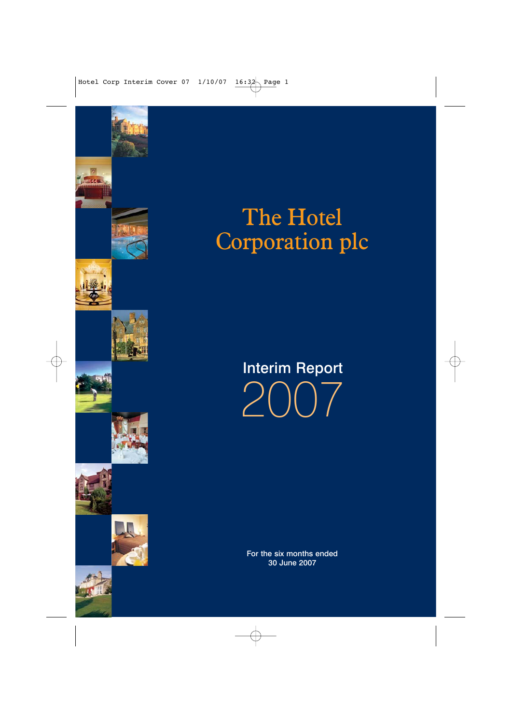













# The Hotel Corporation plc

# Interim Report 2007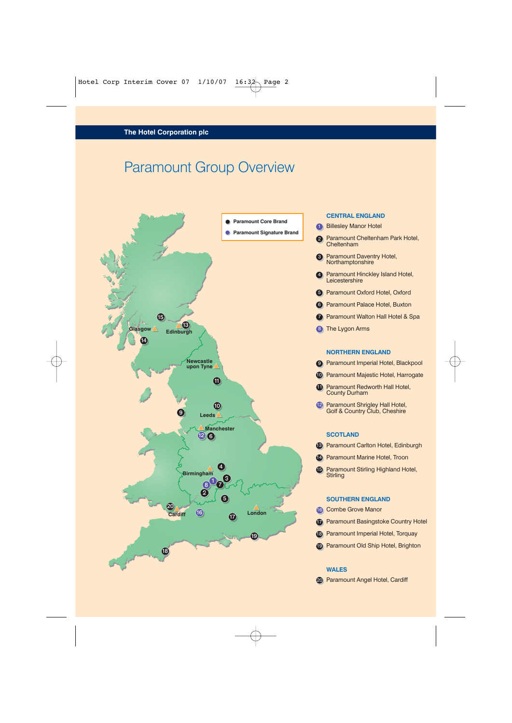# Paramount Group Overview



#### **CENTRAL ENGLAND**

- 1 Billesley Manor Hotel
- 2 Paramount Cheltenham Park Hotel, **Cheltenham**
- **3** Paramount Daventry Hotel, Northamptonshire
- 4 Paramount Hinckley Island Hotel, **Leicestershire**
- 5 Paramount Oxford Hotel, Oxford
- **6** Paramount Palace Hotel, Buxton
- **Paramount Walton Hall Hotel & Spa**
- 8 The Lygon Arms

#### **NORTHERN ENGLAND**

- 9 Paramount Imperial Hotel, Blackpool
- 10 Paramount Majestic Hotel, Harrogate
- **11** Paramount Redworth Hall Hotel, County Durham
- 12 Paramount Shrigley Hall Hotel, Golf & Country Club, Cheshire

#### **SCOTLAND**

- <sup>13</sup> Paramount Carlton Hotel, Edinburgh
- **14** Paramount Marine Hotel, Troon
- Paramount Stirling Highland Hotel, 15 **Stirling**

#### **SOUTHERN ENGLAND**

- Combe Grove Manor 16
- **Paramount Basingstoke Country Hotel**
- Paramount Imperial Hotel, Torquay 18
- <sup>19</sup> Paramount Old Ship Hotel, Brighton

#### **WALES**

20 Paramount Angel Hotel, Cardiff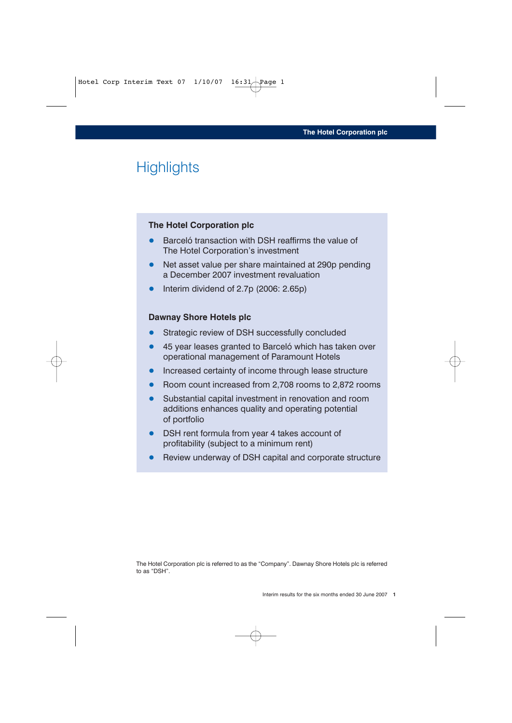# **Highlights**

#### **The Hotel Corporation plc**

- Barceló transaction with DSH reaffirms the value of The Hotel Corporation's investment
- Net asset value per share maintained at 290p pending a December 2007 investment revaluation
- Interim dividend of 2.7p (2006: 2.65p)

#### **Dawnay Shore Hotels plc**

- Strategic review of DSH successfully concluded
- 45 year leases granted to Barceló which has taken over operational management of Paramount Hotels
- Increased certainty of income through lease structure
- Room count increased from 2,708 rooms to 2,872 rooms
- Substantial capital investment in renovation and room additions enhances quality and operating potential of portfolio
- DSH rent formula from year 4 takes account of profitability (subject to a minimum rent)
- Review underway of DSH capital and corporate structure

The Hotel Corporation plc is referred to as the "Company". Dawnay Shore Hotels plc is referred to as "DSH".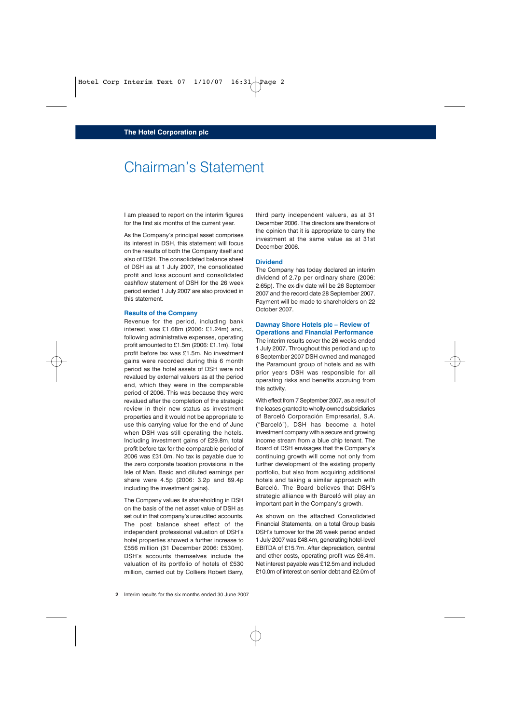## Chairman's Statement

I am pleased to report on the interim figures for the first six months of the current year.

As the Company's principal asset comprises its interest in DSH, this statement will focus on the results of both the Company itself and also of DSH. The consolidated balance sheet of DSH as at 1 July 2007, the consolidated profit and loss account and consolidated cashflow statement of DSH for the 26 week period ended 1 July 2007 are also provided in this statement.

#### **Results of the Company**

Revenue for the period, including bank interest, was £1.68m (2006: £1.24m) and, following administrative expenses, operating profit amounted to £1.5m (2006: £1.1m). Total profit before tax was £1.5m. No investment gains were recorded during this 6 month period as the hotel assets of DSH were not revalued by external valuers as at the period end, which they were in the comparable period of 2006. This was because they were revalued after the completion of the strategic review in their new status as investment properties and it would not be appropriate to use this carrying value for the end of June when DSH was still operating the hotels. Including investment gains of £29.8m, total profit before tax for the comparable period of 2006 was £31.0m. No tax is payable due to the zero corporate taxation provisions in the Isle of Man. Basic and diluted earnings per share were 4.5p (2006: 3.2p and 89.4p including the investment gains).

The Company values its shareholding in DSH on the basis of the net asset value of DSH as set out in that company's unaudited accounts. The post balance sheet effect of the independent professional valuation of DSH's hotel properties showed a further increase to £556 million (31 December 2006: £530m). DSH's accounts themselves include the valuation of its portfolio of hotels of £530 million, carried out by Colliers Robert Barry, third party independent valuers, as at 31 December 2006. The directors are therefore of the opinion that it is appropriate to carry the investment at the same value as at 31st December 2006.

#### **Dividend**

The Company has today declared an interim dividend of 2.7p per ordinary share (2006: 2.65p). The ex-div date will be 26 September 2007 and the record date 28 September 2007. Payment will be made to shareholders on 22 October 2007.

#### **Dawnay Shore Hotels plc – Review of Operations and Financial Performance**

The interim results cover the 26 weeks ended 1 July 2007. Throughout this period and up to 6 September 2007 DSH owned and managed the Paramount group of hotels and as with prior years DSH was responsible for all operating risks and benefits accruing from this activity.

With effect from 7 September 2007, as a result of the leases granted to wholly-owned subsidiaries of Barceló Corporación Empresarial, S.A. ("Barceló"), DSH has become a hotel investment company with a secure and growing income stream from a blue chip tenant. The Board of DSH envisages that the Company's continuing growth will come not only from further development of the existing property portfolio, but also from acquiring additional hotels and taking a similar approach with Barceló. The Board believes that DSH's strategic alliance with Barceló will play an important part in the Company's growth.

As shown on the attached Consolidated Financial Statements, on a total Group basis DSH's turnover for the 26 week period ended 1 July 2007 was £48.4m, generating hotel-level EBITDA of £15.7m. After depreciation, central and other costs, operating profit was £6.4m. Net interest payable was £12.5m and included £10.0m of interest on senior debt and £2.0m of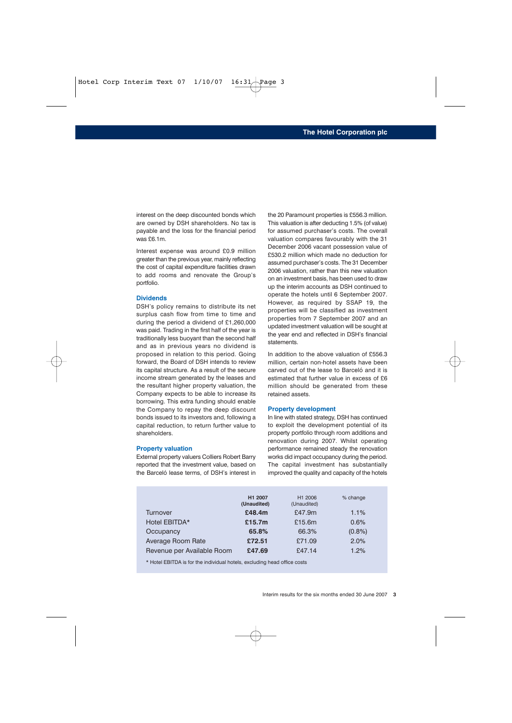interest on the deep discounted bonds which are owned by DSH shareholders. No tax is payable and the loss for the financial period was £6.1m.

Interest expense was around £0.9 million greater than the previous year, mainly reflecting the cost of capital expenditure facilities drawn to add rooms and renovate the Group's portfolio.

#### **Dividends**

DSH's policy remains to distribute its net surplus cash flow from time to time and during the period a dividend of £1,260,000 was paid. Trading in the first half of the year is traditionally less buoyant than the second half and as in previous years no dividend is proposed in relation to this period. Going forward, the Board of DSH intends to review its capital structure. As a result of the secure income stream generated by the leases and the resultant higher property valuation, the Company expects to be able to increase its borrowing. This extra funding should enable the Company to repay the deep discount bonds issued to its investors and, following a capital reduction, to return further value to shareholders.

#### **Property valuation**

External property valuers Colliers Robert Barry reported that the investment value, based on the Barceló lease terms, of DSH's interest in the 20 Paramount properties is £556.3 million. This valuation is after deducting 1.5% (of value) for assumed purchaser's costs. The overall valuation compares favourably with the 31 December 2006 vacant possession value of £530.2 million which made no deduction for assumed purchaser's costs. The 31 December 2006 valuation, rather than this new valuation on an investment basis, has been used to draw up the interim accounts as DSH continued to operate the hotels until 6 September 2007. However, as required by SSAP 19, the properties will be classified as investment properties from 7 September 2007 and an updated investment valuation will be sought at the year end and reflected in DSH's financial statements.

In addition to the above valuation of £556.3 million, certain non-hotel assets have been carved out of the lease to Barceló and it is estimated that further value in excess of £6 million should be generated from these retained assets.

#### **Property development**

In line with stated strategy, DSH has continued to exploit the development potential of its property portfolio through room additions and renovation during 2007. Whilst operating performance remained steady the renovation works did impact occupancy during the period. The capital investment has substantially improved the quality and capacity of the hotels

|                            | H1 2007<br>(Unaudited) | H1 2006<br>(Unaudited) | % change  |
|----------------------------|------------------------|------------------------|-----------|
| Turnover                   | £48.4m                 | £47.9m                 | 1.1%      |
| Hotel EBITDA*              | £15.7m                 | £15.6 $m$              | 0.6%      |
| Occupancy                  | 65.8%                  | 66.3%                  | $(0.8\%)$ |
| Average Room Rate          | £72.51                 | £71.09                 | 2.0%      |
| Revenue per Available Room | £47.69                 | £47.14                 | 1.2%      |

\* Hotel EBITDA is for the individual hotels, excluding head office costs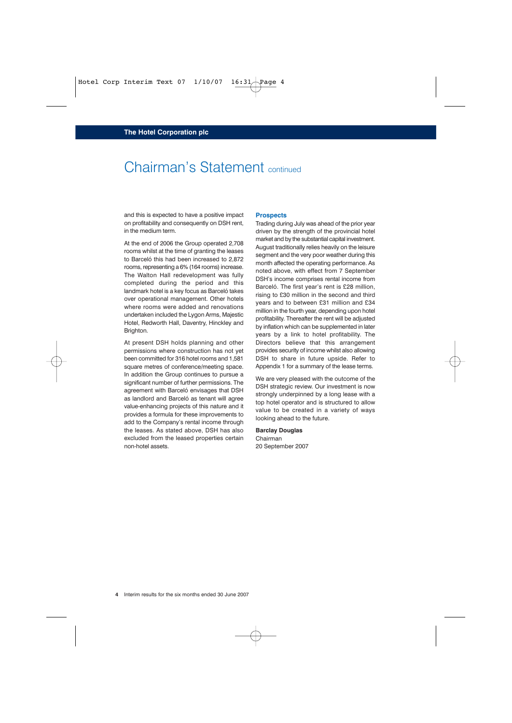# Chairman's Statement continued

and this is expected to have a positive impact on profitability and consequently on DSH rent, in the medium term.

At the end of 2006 the Group operated 2,708 rooms whilst at the time of granting the leases to Barceló this had been increased to 2,872 rooms, representing a 6% (164 rooms) increase. The Walton Hall redevelopment was fully completed during the period and this landmark hotel is a key focus as Barceló takes over operational management. Other hotels where rooms were added and renovations undertaken included the Lygon Arms, Majestic Hotel, Redworth Hall, Daventry, Hinckley and Brighton.

At present DSH holds planning and other permissions where construction has not yet been committed for 316 hotel rooms and 1,581 square metres of conference/meeting space. In addition the Group continues to pursue a significant number of further permissions. The agreement with Barceló envisages that DSH as landlord and Barceló as tenant will agree value-enhancing projects of this nature and it provides a formula for these improvements to add to the Company's rental income through the leases. As stated above, DSH has also excluded from the leased properties certain non-hotel assets.

#### **Prospects**

Trading during July was ahead of the prior year driven by the strength of the provincial hotel market and by the substantial capital investment. August traditionally relies heavily on the leisure segment and the very poor weather during this month affected the operating performance. As noted above, with effect from 7 September DSH's income comprises rental income from Barceló. The first year's rent is £28 million, rising to £30 million in the second and third years and to between £31 million and £34 million in the fourth year, depending upon hotel profitability. Thereafter the rent will be adjusted by inflation which can be supplemented in later years by a link to hotel profitability. The Directors believe that this arrangement provides security of income whilst also allowing DSH to share in future upside. Refer to Appendix 1 for a summary of the lease terms.

We are very pleased with the outcome of the DSH strategic review. Our investment is now strongly underpinned by a long lease with a top hotel operator and is structured to allow value to be created in a variety of ways looking ahead to the future.

#### **Barclay Douglas**

Chairman 20 September 2007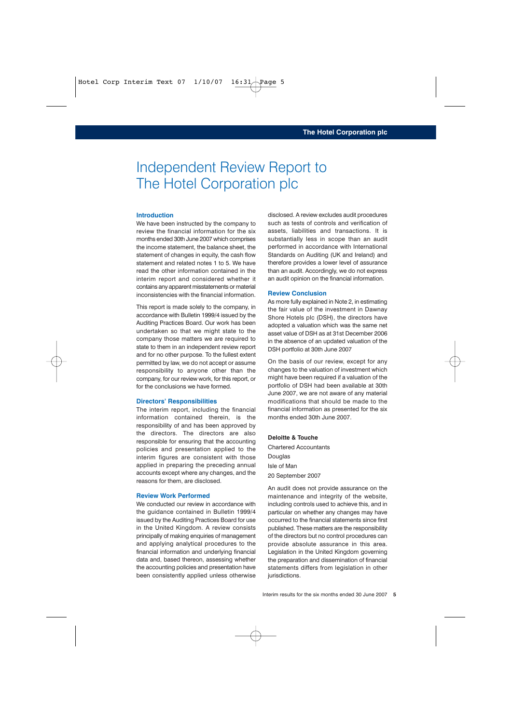# Independent Review Report to The Hotel Corporation plc

#### **Introduction**

We have been instructed by the company to review the financial information for the six months ended 30th June 2007 which comprises the income statement, the balance sheet, the statement of changes in equity, the cash flow statement and related notes 1 to 5. We have read the other information contained in the interim report and considered whether it contains any apparent misstatements or material inconsistencies with the financial information.

This report is made solely to the company, in accordance with Bulletin 1999/4 issued by the Auditing Practices Board. Our work has been undertaken so that we might state to the company those matters we are required to state to them in an independent review report and for no other purpose. To the fullest extent permitted by law, we do not accept or assume responsibility to anyone other than the company, for our review work, for this report, or for the conclusions we have formed.

#### **Directors' Responsibilities**

The interim report, including the financial information contained therein, is the responsibility of and has been approved by the directors. The directors are also responsible for ensuring that the accounting policies and presentation applied to the interim figures are consistent with those applied in preparing the preceding annual accounts except where any changes, and the reasons for them, are disclosed.

#### **Review Work Performed**

We conducted our review in accordance with the guidance contained in Bulletin 1999/4 issued by the Auditing Practices Board for use in the United Kingdom. A review consists principally of making enquiries of management and applying analytical procedures to the financial information and underlying financial data and, based thereon, assessing whether the accounting policies and presentation have been consistently applied unless otherwise

disclosed. A review excludes audit procedures such as tests of controls and verification of assets, liabilities and transactions. It is substantially less in scope than an audit performed in accordance with International Standards on Auditing (UK and Ireland) and therefore provides a lower level of assurance than an audit. Accordingly, we do not express an audit opinion on the financial information.

#### **Review Conclusion**

As more fully explained in Note 2, in estimating the fair value of the investment in Dawnay Shore Hotels plc (DSH), the directors have adopted a valuation which was the same net asset value of DSH as at 31st December 2006 in the absence of an updated valuation of the DSH portfolio at 30th June 2007

On the basis of our review, except for any changes to the valuation of investment which might have been required if a valuation of the portfolio of DSH had been available at 30th June 2007, we are not aware of any material modifications that should be made to the financial information as presented for the six months ended 30th June 2007.

#### **Deloitte & Touche**

Chartered Accountants **Douglas** Isle of Man 20 September 2007

An audit does not provide assurance on the maintenance and integrity of the website, including controls used to achieve this, and in particular on whether any changes may have occurred to the financial statements since first published. These matters are the responsibility of the directors but no control procedures can provide absolute assurance in this area. Legislation in the United Kingdom governing the preparation and dissemination of financial statements differs from legislation in other jurisdictions.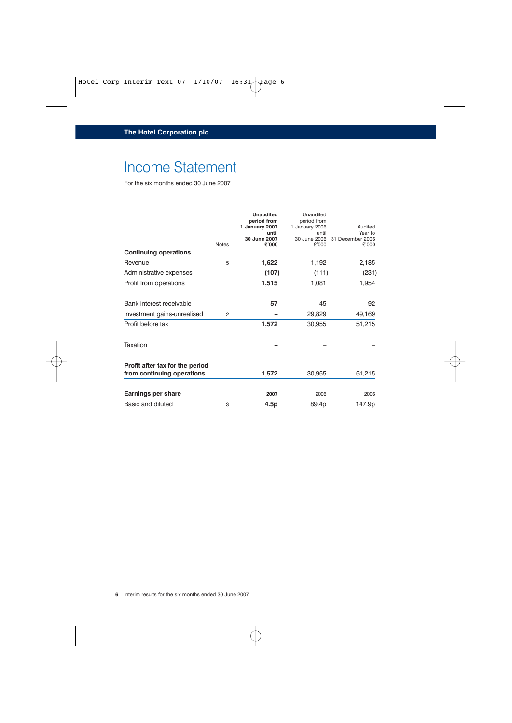# Income Statement

|                                 |                | <b>Unaudited</b><br>period from<br>1 January 2007<br>until<br>30 June 2007 | Unaudited<br>period from<br>1 January 2006<br>until<br>30 June 2006 | Audited<br>Year to<br>31 December 2006 |
|---------------------------------|----------------|----------------------------------------------------------------------------|---------------------------------------------------------------------|----------------------------------------|
|                                 | <b>Notes</b>   | £'000                                                                      | £'000                                                               | £'000                                  |
| <b>Continuing operations</b>    |                |                                                                            |                                                                     |                                        |
| Revenue                         | 5              | 1,622                                                                      | 1,192                                                               | 2,185                                  |
| Administrative expenses         |                | (107)                                                                      | (111)                                                               | (231)                                  |
| Profit from operations          |                | 1,515                                                                      | 1,081                                                               | 1,954                                  |
| Bank interest receivable        |                | 57                                                                         | 45                                                                  | 92                                     |
| Investment gains-unrealised     | $\overline{2}$ |                                                                            | 29,829                                                              | 49,169                                 |
| Profit before tax               |                | 1,572                                                                      | 30,955                                                              | 51,215                                 |
| Taxation                        |                |                                                                            |                                                                     |                                        |
| Profit after tax for the period |                |                                                                            |                                                                     |                                        |
| from continuing operations      |                | 1,572                                                                      | 30,955                                                              | 51,215                                 |
| Earnings per share              |                | 2007                                                                       | 2006                                                                | 2006                                   |
| Basic and diluted               | 3              | 4.5p                                                                       | 89.4p                                                               | 147.9p                                 |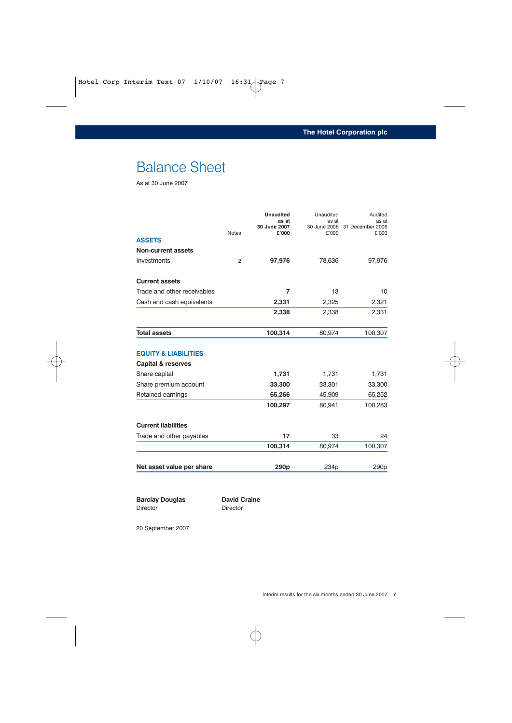# Balance Sheet

As at 30 June 2007

|              | <b>Unaudited</b><br>as at | Unaudited<br>as at | Audited<br>as at                       |
|--------------|---------------------------|--------------------|----------------------------------------|
| <b>Notes</b> | £'000                     | £'000              | 30 June 2006 31 December 2006<br>£'000 |
|              |                           |                    |                                        |
|              |                           |                    |                                        |
| 2            | 97,976                    | 78,636             | 97,976                                 |
|              |                           |                    |                                        |
|              | $\overline{7}$            | 13                 | 10                                     |
|              | 2,331                     | 2,325              | 2,321                                  |
|              | 2,338                     | 2,338              | 2,331                                  |
|              | 100,314                   | 80,974             | 100,307                                |
|              |                           |                    |                                        |
|              |                           |                    |                                        |
|              | 1,731                     | 1,731              | 1,731                                  |
|              | 33,300                    | 33,301             | 33,300                                 |
|              | 65,266                    | 45,909             | 65,252                                 |
|              | 100,297                   | 80,941             | 100,283                                |
|              |                           |                    |                                        |
|              | 17                        | 33                 | 24                                     |
|              | 100,314                   | 80,974             | 100,307                                |
|              | 290 <sub>p</sub>          | 234 <sub>p</sub>   | 290 <sub>p</sub>                       |
|              |                           | 30 June 2007       |                                        |

**Barclay Douglas David Craine** Director Director

20 September 2007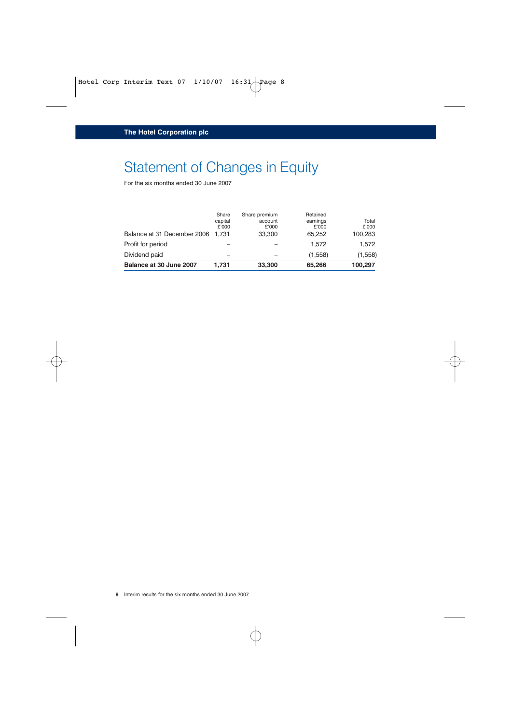# Statement of Changes in Equity

| Balance at 31 December 2006 1,731 | Share<br>capital<br>£'000 | Share premium<br>account<br>£'000<br>33,300 | Retained<br>earnings<br>£'000<br>65.252 | Total<br>£'000<br>100,283 |
|-----------------------------------|---------------------------|---------------------------------------------|-----------------------------------------|---------------------------|
| Profit for period                 |                           |                                             | 1.572                                   | 1.572                     |
| Dividend paid                     |                           |                                             | (1,558)                                 | (1,558)                   |
| Balance at 30 June 2007           | 1.731                     | 33,300                                      | 65,266                                  | 100,297                   |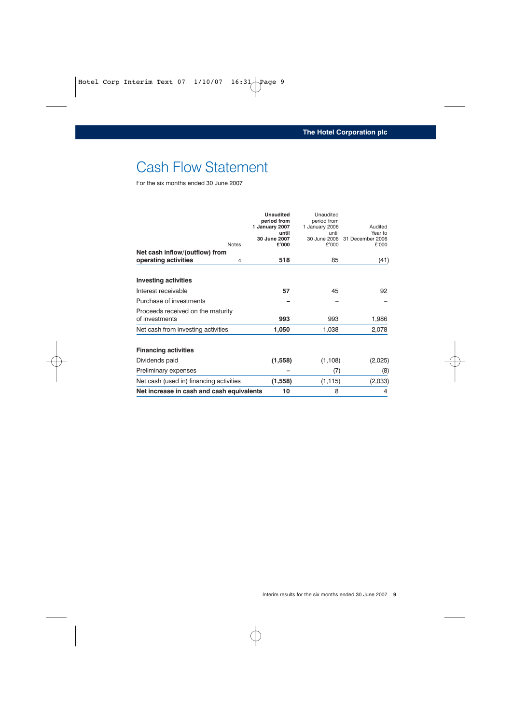# Cash Flow Statement

|                                           | <b>Unaudited</b><br>period from | Unaudited<br>period from |                             |
|-------------------------------------------|---------------------------------|--------------------------|-----------------------------|
|                                           | 1 January 2007                  | 1 January 2006           | Audited                     |
|                                           | until<br>30 June 2007           | until<br>30 June 2006    | Year to<br>31 December 2006 |
| <b>Notes</b>                              | £'000                           | £'000                    | £'000                       |
| Net cash inflow/(outflow) from            |                                 |                          |                             |
| operating activities<br>4                 | 518                             | 85                       | (41)                        |
| <b>Investing activities</b>               |                                 |                          |                             |
| Interest receivable                       | 57                              | 45                       | 92                          |
| Purchase of investments                   |                                 |                          |                             |
| Proceeds received on the maturity         |                                 |                          |                             |
| of investments                            | 993                             | 993                      | 1,986                       |
| Net cash from investing activities        | 1,050                           | 1,038                    | 2,078                       |
| <b>Financing activities</b>               |                                 |                          |                             |
| Dividends paid                            | (1, 558)                        | (1, 108)                 | (2,025)                     |
| Preliminary expenses                      |                                 | (7)                      | (8)                         |
| Net cash (used in) financing activities   | (1,558)                         | (1, 115)                 | (2,033)                     |
| Net increase in cash and cash equivalents | 10                              | 8                        | 4                           |
|                                           |                                 |                          |                             |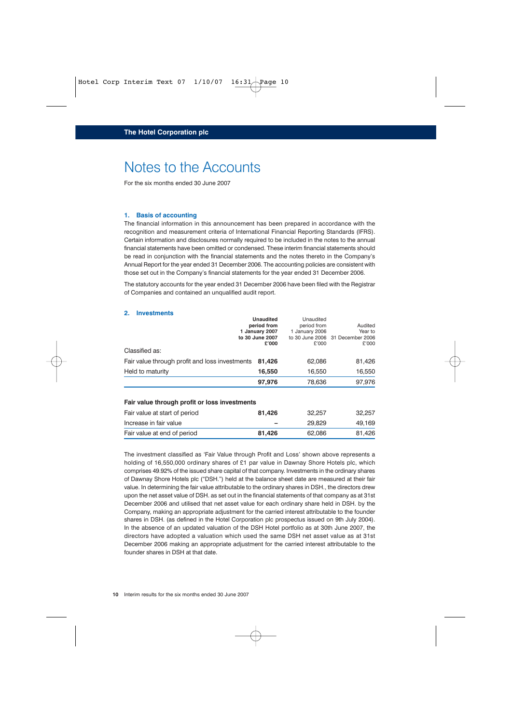### Notes to the Accounts

For the six months ended 30 June 2007

#### **1. Basis of accounting**

The financial information in this announcement has been prepared in accordance with the recognition and measurement criteria of International Financial Reporting Standards (IFRS). Certain information and disclosures normally required to be included in the notes to the annual financial statements have been omitted or condensed. These interim financial statements should be read in conjunction with the financial statements and the notes thereto in the Company's Annual Report for the year ended 31 December 2006. The accounting policies are consistent with those set out in the Company's financial statements for the year ended 31 December 2006.

The statutory accounts for the year ended 31 December 2006 have been filed with the Registrar of Companies and contained an unqualified audit report.

#### **2. Investments**

|                                                                                | <b>Unaudited</b><br>period from<br>1 January 2007<br>to 30 June 2007<br>£'000 | Unaudited<br>period from<br>1 January 2006<br>£'000 | Audited<br>Year to<br>to 30 June 2006 31 December 2006<br>£'000 |
|--------------------------------------------------------------------------------|-------------------------------------------------------------------------------|-----------------------------------------------------|-----------------------------------------------------------------|
| Classified as:                                                                 |                                                                               |                                                     |                                                                 |
| Fair value through profit and loss investments                                 | 81,426                                                                        | 62,086                                              | 81,426                                                          |
| Held to maturity                                                               | 16,550                                                                        | 16,550                                              | 16,550                                                          |
|                                                                                | 97,976                                                                        | 78,636                                              | 97,976                                                          |
| Fair value through profit or loss investments<br>Fair value at start of period | 81,426                                                                        | 32,257                                              | 32,257                                                          |
| Increase in fair value                                                         |                                                                               |                                                     |                                                                 |
|                                                                                |                                                                               | 29,829                                              | 49,169                                                          |
| Fair value at end of period                                                    | 81.426                                                                        | 62,086                                              | 81.426                                                          |

The investment classified as 'Fair Value through Profit and Loss' shown above represents a holding of 16,550,000 ordinary shares of £1 par value in Dawnay Shore Hotels plc, which comprises 49.92% of the issued share capital of that company. Investments in the ordinary shares of Dawnay Shore Hotels plc ("DSH.") held at the balance sheet date are measured at their fair value. In determining the fair value attributable to the ordinary shares in DSH., the directors drew upon the net asset value of DSH. as set out in the financial statements of that company as at 31st December 2006 and utilised that net asset value for each ordinary share held in DSH. by the Company, making an appropriate adjustment for the carried interest attributable to the founder shares in DSH. (as defined in the Hotel Corporation plc prospectus issued on 9th July 2004). In the absence of an updated valuation of the DSH Hotel portfolio as at 30th June 2007, the directors have adopted a valuation which used the same DSH net asset value as at 31st December 2006 making an appropriate adjustment for the carried interest attributable to the founder shares in DSH at that date.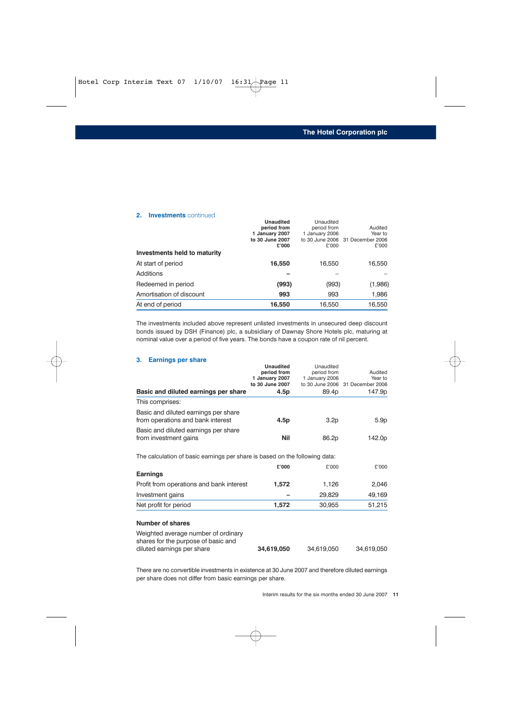|                              | <b>Unaudited</b> | Unaudited      |                                  |
|------------------------------|------------------|----------------|----------------------------------|
|                              | period from      | period from    | Audited                          |
|                              | 1 January 2007   | 1 January 2006 | Year to                          |
|                              | to 30 June 2007  |                | to 30 June 2006 31 December 2006 |
|                              | £'000            | £'000          | £'000                            |
| Investments held to maturity |                  |                |                                  |
| At start of period           | 16,550           | 16,550         | 16,550                           |
| Additions                    |                  |                |                                  |
| Redeemed in period           | (993)            | (993)          | (1,986)                          |
| Amortisation of discount     | 993              | 993            | 1,986                            |
| At end of period             | 16,550           | 16,550         | 16,550                           |

The investments included above represent unlisted investments in unsecured deep discount bonds issued by DSH (Finance) plc, a subsidiary of Dawnay Shore Hotels plc, maturing at nominal value over a period of five years. The bonds have a coupon rate of nil percent.

#### **3. Earnings per share**

**2. Investments** continued

|                                                                             | <b>Unaudited</b> | Unaudited      |                                  |
|-----------------------------------------------------------------------------|------------------|----------------|----------------------------------|
|                                                                             | period from      | period from    | Audited                          |
|                                                                             | 1 January 2007   | 1 January 2006 | Year to                          |
|                                                                             | to 30 June 2007  |                | to 30 June 2006 31 December 2006 |
| Basic and diluted earnings per share                                        | 4.5p             | 89.4p          | 147.9p                           |
| This comprises:                                                             |                  |                |                                  |
| Basic and diluted earnings per share<br>from operations and bank interest   | 4.5p             | 3.2p           | 5.9p                             |
| Basic and diluted earnings per share<br>from investment gains               | Nil              | 86.2p          | 142.0p                           |
| The calculation of basic earnings per share is based on the following data: |                  |                |                                  |
|                                                                             | £'000            | £'000          | £'000                            |
| <b>Earnings</b>                                                             |                  |                |                                  |
| Profit from operations and bank interest                                    | 1,572            | 1,126          | 2,046                            |
| Investment gains                                                            |                  | 29,829         | 49,169                           |
| Net profit for period                                                       | 1,572            | 30,955         | 51,215                           |
| <b>Number of shares</b>                                                     |                  |                |                                  |
| Weighted average number of ordinary<br>shares for the purpose of basic and  |                  |                |                                  |

There are no convertible investments in existence at 30 June 2007 and therefore diluted earnings per share does not differ from basic earnings per share.

diluted earnings per share **34,619,050** 34,619,050 34,619,050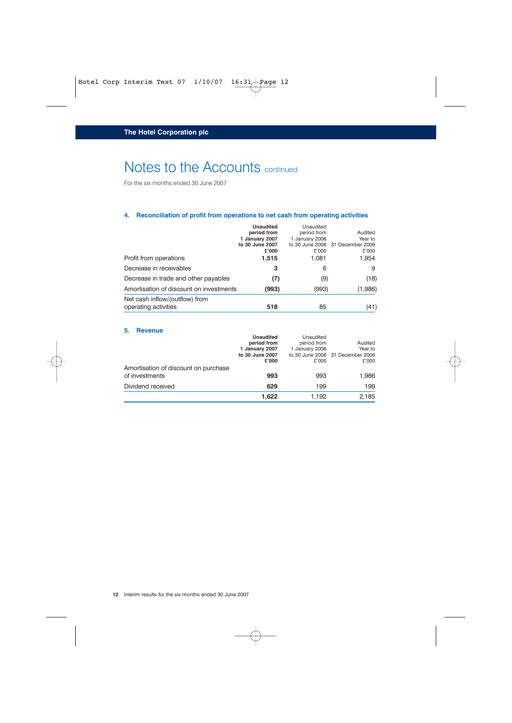# Notes to the Accounts continued

For the six months ended 30 June 2007

#### **4. Reconciliation of profit from operations to net cash from operating activities**

|                                                        | <b>Unaudited</b><br>period from<br>1 January 2007<br>to 30 June 2007<br>£'000 | Unaudited<br>period from<br>1 January 2006<br>£'000 | Audited<br>Year to<br>to 30 June 2006 31 December 2006<br>£'000 |
|--------------------------------------------------------|-------------------------------------------------------------------------------|-----------------------------------------------------|-----------------------------------------------------------------|
| Profit from operations                                 | 1,515                                                                         | 1,081                                               | 1,954                                                           |
| Decrease in receivables                                | 3                                                                             | 6                                                   | 9                                                               |
| Decrease in trade and other payables                   | (7)                                                                           | (9)                                                 | (18)                                                            |
| Amortisation of discount on investments                | (993)                                                                         | (993)                                               | (1,986)                                                         |
| Net cash inflow/(outflow) from<br>operating activities | 518                                                                           | 85                                                  | (41)                                                            |

#### **5. Revenue**

|                                      | <b>Unaudited</b> | Unaudited      |                                  |
|--------------------------------------|------------------|----------------|----------------------------------|
|                                      | period from      | period from    | Audited                          |
|                                      | 1 January 2007   | 1 January 2006 | Year to                          |
|                                      | to 30 June 2007  |                | to 30 June 2006 31 December 2006 |
|                                      | £'000            | £'000          | £'000                            |
| Amortisation of discount on purchase |                  |                |                                  |
| of investments                       | 993              | 993            | 1,986                            |
| Dividend received                    | 629              | 199            | 199                              |
|                                      | 1.622            | 1.192          | 2,185                            |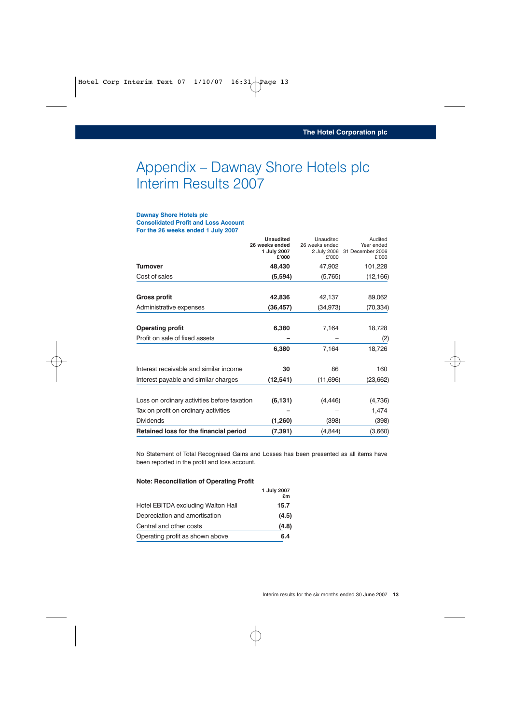# Appendix – Dawnay Shore Hotels plc Interim Results 2007

#### **Dawnay Shore Hotels plc Consolidated Profit and Loss Account For the 26 weeks ended 1 July 2007**

|                                             | <b>Unaudited</b><br>26 weeks ended<br>1 July 2007<br>£'000 | Unaudited<br>26 weeks ended<br>2 July 2006<br>£'000 | Audited<br>Year ended<br>31 December 2006<br>£'000 |
|---------------------------------------------|------------------------------------------------------------|-----------------------------------------------------|----------------------------------------------------|
| <b>Turnover</b>                             | 48,430                                                     | 47,902                                              | 101,228                                            |
| Cost of sales                               | (5,594)                                                    | (5,765)                                             | (12, 166)                                          |
| <b>Gross profit</b>                         | 42,836                                                     | 42,137                                              | 89,062                                             |
| Administrative expenses                     | (36, 457)                                                  | (34, 973)                                           | (70, 334)                                          |
| <b>Operating profit</b>                     | 6,380                                                      | 7,164                                               | 18,728                                             |
| Profit on sale of fixed assets              |                                                            |                                                     | (2)                                                |
|                                             | 6,380                                                      | 7,164                                               | 18,726                                             |
| Interest receivable and similar income      | 30                                                         | 86                                                  | 160                                                |
| Interest payable and similar charges        | (12, 541)                                                  | (11,696)                                            | (23, 662)                                          |
| Loss on ordinary activities before taxation | (6, 131)                                                   | (4, 446)                                            | (4,736)                                            |
| Tax on profit on ordinary activities        |                                                            |                                                     | 1,474                                              |
| <b>Dividends</b>                            | (1,260)                                                    | (398)                                               | (398)                                              |
| Retained loss for the financial period      | (7, 391)                                                   | (4,844)                                             | (3,660)                                            |

No Statement of Total Recognised Gains and Losses has been presented as all items have been reported in the profit and loss account.

#### **Note: Reconciliation of Operating Profit**

|                                    | 1 July 2007<br>£m |
|------------------------------------|-------------------|
| Hotel EBITDA excluding Walton Hall | 15.7              |
| Depreciation and amortisation      | (4.5)             |
| Central and other costs            | (4.8)             |
| Operating profit as shown above    | 6.4               |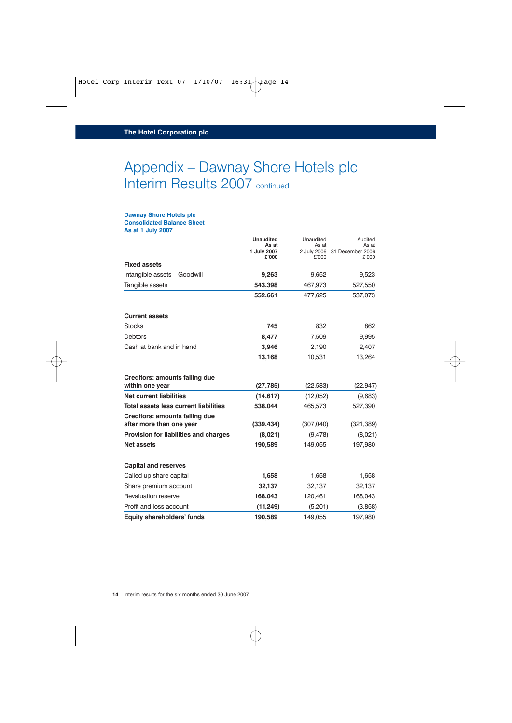# Appendix – Dawnay Shore Hotels plc Interim Results 2007 continued

#### **Dawnay Shore Hotels plc Consolidated Balance Sheet**

**As at 1 July 2007**

|                                                            | <b>Unaudited</b><br>As at<br>1 July 2007<br>£'000 | Unaudited<br>As at<br>£'000 | Audited<br>As at<br>2 July 2006 31 December 2006<br>£'000 |
|------------------------------------------------------------|---------------------------------------------------|-----------------------------|-----------------------------------------------------------|
| <b>Fixed assets</b>                                        |                                                   |                             |                                                           |
| Intangible assets - Goodwill                               | 9,263                                             | 9,652                       | 9,523                                                     |
| Tangible assets                                            | 543,398                                           | 467,973                     | 527,550                                                   |
|                                                            | 552,661                                           | 477,625                     | 537,073                                                   |
| <b>Current assets</b>                                      |                                                   |                             |                                                           |
| <b>Stocks</b>                                              | 745                                               | 832                         | 862                                                       |
| <b>Debtors</b>                                             | 8.477                                             | 7,509                       | 9,995                                                     |
| Cash at bank and in hand                                   | 3,946                                             | 2,190                       | 2,407                                                     |
|                                                            | 13,168                                            | 10,531                      | 13,264                                                    |
| <b>Creditors: amounts falling due</b><br>within one year   | (27, 785)                                         | (22, 583)                   | (22, 947)                                                 |
| <b>Net current liabilities</b>                             | (14, 617)                                         | (12,052)                    | (9,683)                                                   |
| Total assets less current liabilities                      | 538,044                                           | 465,573                     | 527,390                                                   |
| Creditors: amounts falling due<br>after more than one year | (339, 434)                                        | (307,040)                   | (321, 389)                                                |
| Provision for liabilities and charges                      | (8,021)                                           | (9, 478)                    | (8,021)                                                   |
| <b>Net assets</b>                                          | 190,589                                           | 149,055                     | 197,980                                                   |
| <b>Capital and reserves</b>                                |                                                   |                             |                                                           |
| Called up share capital                                    | 1,658                                             | 1,658                       | 1,658                                                     |
| Share premium account                                      | 32,137                                            | 32,137                      | 32,137                                                    |
| Revaluation reserve                                        | 168,043                                           | 120,461                     | 168,043                                                   |
| Profit and loss account                                    | (11,249)                                          | (5,201)                     | (3,858)                                                   |
| <b>Equity shareholders' funds</b>                          | 190,589                                           | 149,055                     | 197,980                                                   |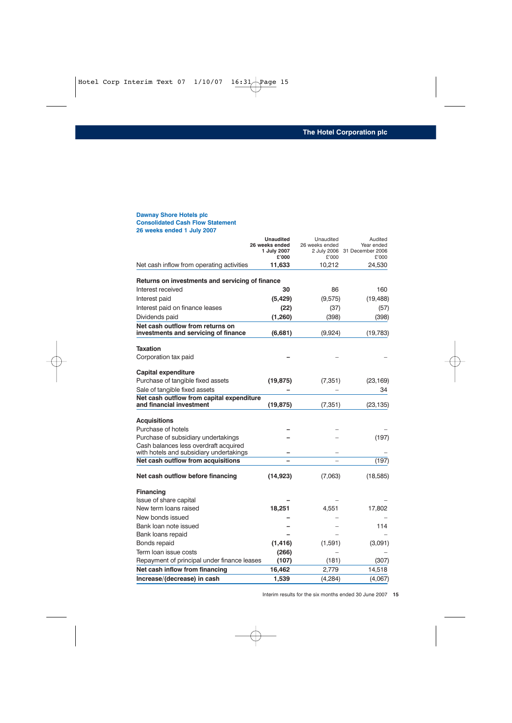#### **Dawnay Shore Hotels plc Consolidated Cash Flow Statement 26 weeks ended 1 July 2007**

|                                                                                  | <b>Unaudited</b><br>26 weeks ended<br>1 July 2007<br>£'000 | Unaudited<br>26 weeks ended<br>£'000 | Audited<br>Year ended<br>2 July 2006 31 December 2006<br>£'000 |
|----------------------------------------------------------------------------------|------------------------------------------------------------|--------------------------------------|----------------------------------------------------------------|
| Net cash inflow from operating activities                                        | 11,633                                                     | 10,212                               | 24,530                                                         |
|                                                                                  |                                                            |                                      |                                                                |
| Returns on investments and servicing of finance<br>Interest received             | 30                                                         | 86                                   | 160                                                            |
| Interest paid                                                                    | (5,429)                                                    | (9,575)                              | (19, 488)                                                      |
| Interest paid on finance leases                                                  |                                                            |                                      |                                                                |
|                                                                                  | (22)                                                       | (37)                                 | (57)                                                           |
| Dividends paid<br>Net cash outflow from returns on                               | (1,260)                                                    | (398)                                | (398)                                                          |
| investments and servicing of finance                                             | (6,681)                                                    | (9,924)                              | (19, 783)                                                      |
| <b>Taxation</b>                                                                  |                                                            |                                      |                                                                |
| Corporation tax paid                                                             |                                                            |                                      |                                                                |
| <b>Capital expenditure</b>                                                       |                                                            |                                      |                                                                |
| Purchase of tangible fixed assets                                                | (19, 875)                                                  | (7, 351)                             | (23, 169)                                                      |
| Sale of tangible fixed assets                                                    |                                                            |                                      | 34                                                             |
| Net cash outflow from capital expenditure<br>and financial investment            | (19, 875)                                                  | (7, 351)                             | (23, 135)                                                      |
| <b>Acquisitions</b>                                                              |                                                            |                                      |                                                                |
| Purchase of hotels                                                               |                                                            |                                      |                                                                |
| Purchase of subsidiary undertakings                                              |                                                            |                                      | (197)                                                          |
| Cash balances less overdraft acquired<br>with hotels and subsidiary undertakings |                                                            |                                      |                                                                |
| Net cash outflow from acquisitions                                               |                                                            |                                      | (197)                                                          |
| Net cash outflow before financing                                                | (14, 923)                                                  | (7,063)                              | (18, 585)                                                      |
| <b>Financing</b>                                                                 |                                                            |                                      |                                                                |
| Issue of share capital                                                           |                                                            |                                      |                                                                |
| New term loans raised                                                            | 18,251                                                     | 4,551                                | 17,802                                                         |
| New bonds issued                                                                 |                                                            |                                      |                                                                |
| Bank loan note issued                                                            |                                                            |                                      | 114                                                            |
| Bank loans repaid                                                                |                                                            |                                      |                                                                |
| Bonds repaid                                                                     | (1, 416)                                                   | (1,591)                              | (3,091)                                                        |
| Term loan issue costs                                                            | (266)                                                      |                                      |                                                                |
| Repayment of principal under finance leases                                      | (107)                                                      | (181)                                | (307)                                                          |
| Net cash inflow from financing                                                   | 16,462                                                     | 2,779                                | 14,518                                                         |
| Increase/(decrease) in cash                                                      | 1,539                                                      | (4, 284)                             | (4,067)                                                        |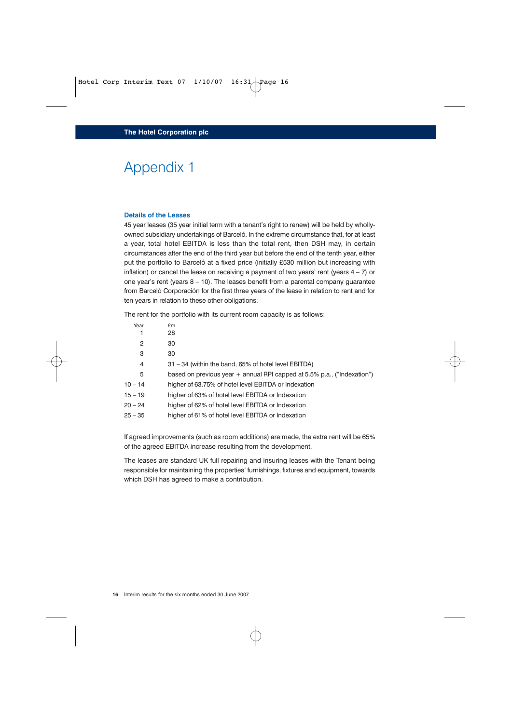# Appendix 1

#### **Details of the Leases**

45 year leases (35 year initial term with a tenant's right to renew) will be held by whollyowned subsidiary undertakings of Barceló. In the extreme circumstance that, for at least a year, total hotel EBITDA is less than the total rent, then DSH may, in certain circumstances after the end of the third year but before the end of the tenth year, either put the portfolio to Barceló at a fixed price (initially £530 million but increasing with inflation) or cancel the lease on receiving a payment of two years' rent (years  $4 - 7$ ) or one year's rent (years 8 – 10). The leases benefit from a parental company guarantee from Barceló Corporación for the first three years of the lease in relation to rent and for ten years in relation to these other obligations.

The rent for the portfolio with its current room capacity is as follows:

| Year      | £m                                                                        |
|-----------|---------------------------------------------------------------------------|
| 1         | 28                                                                        |
| 2         | 30                                                                        |
| 3         | 30                                                                        |
| 4         | 31 – 34 (within the band, 65% of hotel level EBITDA)                      |
| 5         | based on previous year $+$ annual RPI capped at 5.5% p.a., ("Indexation") |
| $10 - 14$ | higher of 63.75% of hotel level EBITDA or Indexation                      |
| $15 - 19$ | higher of 63% of hotel level EBITDA or Indexation                         |
| $20 - 24$ | higher of 62% of hotel level EBITDA or Indexation                         |
| $25 - 35$ | higher of 61% of hotel level EBITDA or Indexation                         |
|           |                                                                           |

If agreed improvements (such as room additions) are made, the extra rent will be 65% of the agreed EBITDA increase resulting from the development.

The leases are standard UK full repairing and insuring leases with the Tenant being responsible for maintaining the properties' furnishings, fixtures and equipment, towards which DSH has agreed to make a contribution.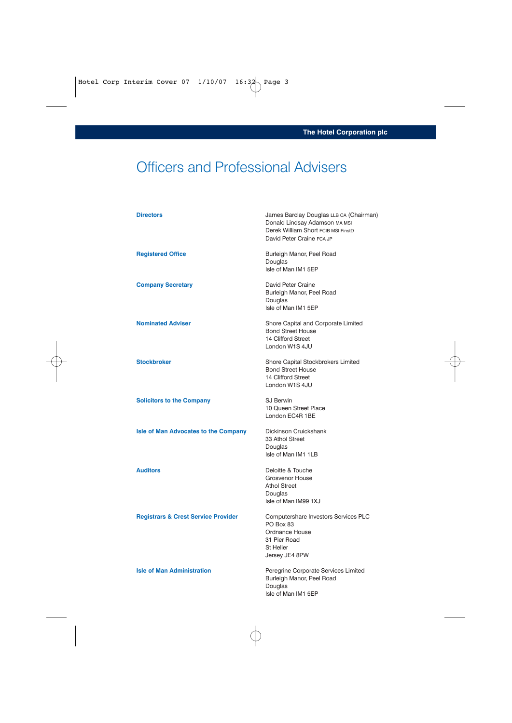# Officers and Professional Advisers

| <b>Directors</b>                               | James Barclay Douglas LLB CA (Chairman)<br>Donald Lindsay Adamson MA MSI<br>Derek William Short FCIB MSI FinstD<br>David Peter Craine FCA JP |
|------------------------------------------------|----------------------------------------------------------------------------------------------------------------------------------------------|
| <b>Registered Office</b>                       | Burleigh Manor, Peel Road<br>Douglas<br>Isle of Man IM1 5EP                                                                                  |
| <b>Company Secretary</b>                       | David Peter Craine<br>Burleigh Manor, Peel Road<br>Douglas<br>Isle of Man IM1 5EP                                                            |
| <b>Nominated Adviser</b>                       | Shore Capital and Corporate Limited<br><b>Bond Street House</b><br>14 Clifford Street<br>London W1S 4JU                                      |
| <b>Stockbroker</b>                             | Shore Capital Stockbrokers Limited<br><b>Bond Street House</b><br>14 Clifford Street<br>London W1S 4JU                                       |
| <b>Solicitors to the Company</b>               | <b>SJ Berwin</b><br>10 Queen Street Place<br>London EC4R 1BE                                                                                 |
| <b>Isle of Man Advocates to the Company</b>    | Dickinson Cruickshank<br>33 Athol Street<br>Douglas<br>Isle of Man IM1 1LB                                                                   |
| <b>Auditors</b>                                | Deloitte & Touche<br>Grosvenor House<br><b>Athol Street</b><br>Douglas<br>Isle of Man IM99 1XJ                                               |
| <b>Registrars &amp; Crest Service Provider</b> | Computershare Investors Services PLC<br>PO Box 83<br>Ordnance House<br>31 Pier Road<br><b>St Helier</b><br>Jersey JE4 8PW                    |
| <b>Isle of Man Administration</b>              | Peregrine Corporate Services Limited<br>Burleigh Manor, Peel Road<br>Douglas<br>Isle of Man IM1 5EP                                          |